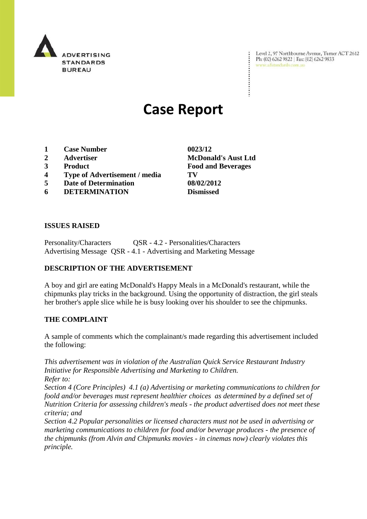

Level 2, 97 Northbourne Avenue, Turner ACT 2612 Ph: (02) 6262 9822 | Fax: (02) 6262 9833 www.adstandards.com.au

# **Case Report**

- **1 Case Number 0023/12**
- 
- 
- **4 Type of Advertisement / media TV**
- **5 Date of Determination 08/02/2012**
- **6 DETERMINATION Dismissed**

**ISSUES RAISED**

Personality/Characters QSR - 4.2 - Personalities/Characters Advertising Message QSR - 4.1 - Advertising and Marketing Message

## **DESCRIPTION OF THE ADVERTISEMENT**

A boy and girl are eating McDonald's Happy Meals in a McDonald's restaurant, while the chipmunks play tricks in the background. Using the opportunity of distraction, the girl steals her brother's apple slice while he is busy looking over his shoulder to see the chipmunks.

## **THE COMPLAINT**

A sample of comments which the complainant/s made regarding this advertisement included the following:

*This advertisement was in violation of the Australian Quick Service Restaurant Industry Initiative for Responsible Advertising and Marketing to Children. Refer to:*

*Section 4 (Core Principles) 4.1 (a) Advertising or marketing communications to children for foold and/or beverages must represent healthier choices as determined by a defined set of Nutrition Criteria for assessing children's meals - the product advertised does not meet these criteria; and*

*Section 4.2 Popular personalities or licensed characters must not be used in advertising or marketing communications to children for food and/or beverage produces - the presence of the chipmunks (from Alvin and Chipmunks movies - in cinemas now) clearly violates this principle.*

**2 Advertiser McDonald's Aust Ltd 3 Product Food and Beverages**

 $\ddot{\cdot}$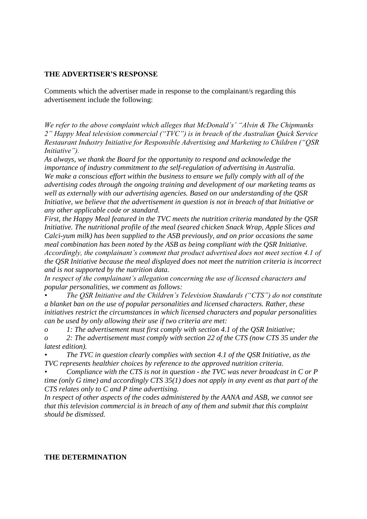### **THE ADVERTISER'S RESPONSE**

Comments which the advertiser made in response to the complainant/s regarding this advertisement include the following:

*We refer to the above complaint which alleges that McDonald's' "Alvin & The Chipmunks 2" Happy Meal television commercial ("TVC") is in breach of the Australian Quick Service Restaurant Industry Initiative for Responsible Advertising and Marketing to Children ("QSR Initiative").* 

*As always, we thank the Board for the opportunity to respond and acknowledge the importance of industry commitment to the self-regulation of advertising in Australia. We make a conscious effort within the business to ensure we fully comply with all of the advertising codes through the ongoing training and development of our marketing teams as well as externally with our advertising agencies. Based on our understanding of the QSR Initiative, we believe that the advertisement in question is not in breach of that Initiative or any other applicable code or standard.* 

*First, the Happy Meal featured in the TVC meets the nutrition criteria mandated by the QSR Initiative. The nutritional profile of the meal (seared chicken Snack Wrap, Apple Slices and Calci-yum milk) has been supplied to the ASB previously, and on prior occasions the same meal combination has been noted by the ASB as being compliant with the QSR Initiative. Accordingly, the complainant's comment that product advertised does not meet section 4.1 of the QSR Initiative because the meal displayed does not meet the nutrition criteria is incorrect and is not supported by the nutrition data.*

*In respect of the complainant's allegation concerning the use of licensed characters and popular personalities, we comment as follows:*

*• The QSR Initiative and the Children's Television Standards ("CTS") do not constitute a blanket ban on the use of popular personalities and licensed characters. Rather, these initiatives restrict the circumstances in which licensed characters and popular personalities can be used by only allowing their use if two criteria are met:*

*o 1: The advertisement must first comply with section 4.1 of the QSR Initiative;*

*o 2: The advertisement must comply with section 22 of the CTS (now CTS 35 under the latest edition).* 

*• The TVC in question clearly complies with section 4.1 of the QSR Initiative, as the TVC represents healthier choices by reference to the approved nutrition criteria.*

*• Compliance with the CTS is not in question - the TVC was never broadcast in C or P time (only G time) and accordingly CTS 35(1) does not apply in any event as that part of the CTS relates only to C and P time advertising.* 

*In respect of other aspects of the codes administered by the AANA and ASB, we cannot see that this television commercial is in breach of any of them and submit that this complaint should be dismissed.*

### **THE DETERMINATION**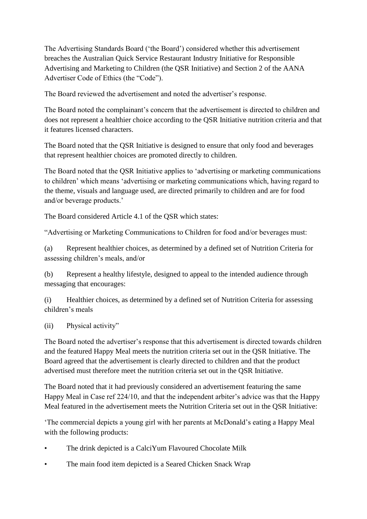The Advertising Standards Board ("the Board") considered whether this advertisement breaches the Australian Quick Service Restaurant Industry Initiative for Responsible Advertising and Marketing to Children (the QSR Initiative) and Section 2 of the AANA Advertiser Code of Ethics (the "Code").

The Board reviewed the advertisement and noted the advertiser"s response.

The Board noted the complainant's concern that the advertisement is directed to children and does not represent a healthier choice according to the QSR Initiative nutrition criteria and that it features licensed characters.

The Board noted that the QSR Initiative is designed to ensure that only food and beverages that represent healthier choices are promoted directly to children.

The Board noted that the QSR Initiative applies to "advertising or marketing communications to children" which means "advertising or marketing communications which, having regard to the theme, visuals and language used, are directed primarily to children and are for food and/or beverage products.'

The Board considered Article 4.1 of the QSR which states:

"Advertising or Marketing Communications to Children for food and/or beverages must:

(a) Represent healthier choices, as determined by a defined set of Nutrition Criteria for assessing children"s meals, and/or

(b) Represent a healthy lifestyle, designed to appeal to the intended audience through messaging that encourages:

(i) Healthier choices, as determined by a defined set of Nutrition Criteria for assessing children"s meals

(ii) Physical activity"

The Board noted the advertiser"s response that this advertisement is directed towards children and the featured Happy Meal meets the nutrition criteria set out in the QSR Initiative. The Board agreed that the advertisement is clearly directed to children and that the product advertised must therefore meet the nutrition criteria set out in the QSR Initiative.

The Board noted that it had previously considered an advertisement featuring the same Happy Meal in Case ref 224/10, and that the independent arbiter's advice was that the Happy Meal featured in the advertisement meets the Nutrition Criteria set out in the QSR Initiative:

"The commercial depicts a young girl with her parents at McDonald"s eating a Happy Meal with the following products:

- The drink depicted is a CalciYum Flavoured Chocolate Milk
- The main food item depicted is a Seared Chicken Snack Wrap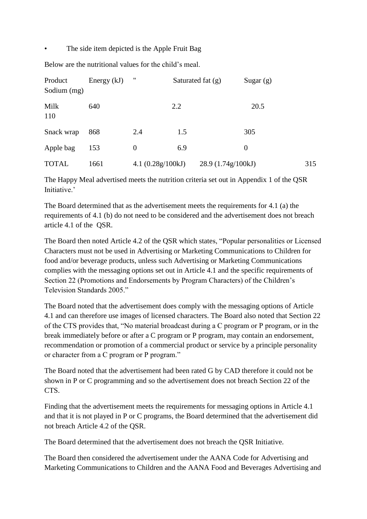The side item depicted is the Apple Fruit Bag

Below are the nutritional values for the child"s meal.

| Product<br>Sodium (mg) | Energy $(kJ)$ | "                   |     | Saturated fat $(g)$ | Sugar $(g)$ |     |
|------------------------|---------------|---------------------|-----|---------------------|-------------|-----|
| Milk<br>110            | 640           |                     | 2.2 |                     | 20.5        |     |
| Snack wrap             | 868           | 2.4                 | 1.5 |                     | 305         |     |
| Apple bag              | 153           | $\theta$            | 6.9 |                     | $\theta$    |     |
| <b>TOTAL</b>           | 1661          | 4.1 $(0.28g/100kJ)$ |     | 28.9 (1.74g/100kJ)  |             | 315 |

The Happy Meal advertised meets the nutrition criteria set out in Appendix 1 of the QSR Initiative.'

The Board determined that as the advertisement meets the requirements for 4.1 (a) the requirements of 4.1 (b) do not need to be considered and the advertisement does not breach article 4.1 of the QSR.

The Board then noted Article 4.2 of the QSR which states, "Popular personalities or Licensed Characters must not be used in Advertising or Marketing Communications to Children for food and/or beverage products, unless such Advertising or Marketing Communications complies with the messaging options set out in Article 4.1 and the specific requirements of Section 22 (Promotions and Endorsements by Program Characters) of the Children"s Television Standards 2005."

The Board noted that the advertisement does comply with the messaging options of Article 4.1 and can therefore use images of licensed characters. The Board also noted that Section 22 of the CTS provides that, "No material broadcast during a C program or P program, or in the break immediately before or after a C program or P program, may contain an endorsement, recommendation or promotion of a commercial product or service by a principle personality or character from a C program or P program."

The Board noted that the advertisement had been rated G by CAD therefore it could not be shown in P or C programming and so the advertisement does not breach Section 22 of the CTS.

Finding that the advertisement meets the requirements for messaging options in Article 4.1 and that it is not played in P or C programs, the Board determined that the advertisement did not breach Article 4.2 of the QSR.

The Board determined that the advertisement does not breach the QSR Initiative.

The Board then considered the advertisement under the AANA Code for Advertising and Marketing Communications to Children and the AANA Food and Beverages Advertising and